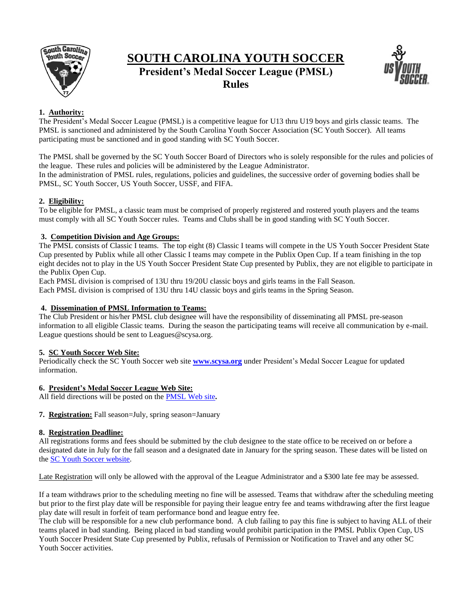

# **SOUTH CAROLINA YOUTH SOCCER President's Medal Soccer League (PMSL)**

**Rules**



# **1. Authority:**

The President's Medal Soccer League (PMSL) is a competitive league for U13 thru U19 boys and girls classic teams. The PMSL is sanctioned and administered by the South Carolina Youth Soccer Association (SC Youth Soccer). All teams participating must be sanctioned and in good standing with SC Youth Soccer.

The PMSL shall be governed by the SC Youth Soccer Board of Directors who is solely responsible for the rules and policies of the league. These rules and policies will be administered by the League Administrator.

In the administration of PMSL rules, regulations, policies and guidelines, the successive order of governing bodies shall be PMSL, SC Youth Soccer, US Youth Soccer, USSF, and FIFA.

# **2. Eligibility:**

To be eligible for PMSL, a classic team must be comprised of properly registered and rostered youth players and the teams must comply with all SC Youth Soccer rules. Teams and Clubs shall be in good standing with SC Youth Soccer.

# **3. Competition Division and Age Groups:**

The PMSL consists of Classic I teams. The top eight (8) Classic I teams will compete in the US Youth Soccer President State Cup presented by Publix while all other Classic I teams may compete in the Publix Open Cup. If a team finishing in the top eight decides not to play in the US Youth Soccer President State Cup presented by Publix, they are not eligible to participate in the Publix Open Cup.

Each PMSL division is comprised of 13U thru 19/20U classic boys and girls teams in the Fall Season.

Each PMSL division is comprised of 13U thru 14U classic boys and girls teams in the Spring Season.

# **4. Dissemination of PMSL Information to Teams:**

The Club President or his/her PMSL club designee will have the responsibility of disseminating all PMSL pre-season information to all eligible Classic teams. During the season the participating teams will receive all communication by e-mail. League questions should be sent to Leagues@scysa.org.

# **5. SC Youth Soccer Web Site:**

Periodically check the SC Youth Soccer web site **[www.scysa.org](http://www.scysa.org/)** under President's Medal Soccer League for updated information.

# **6. President's Medal Soccer League Web Site:**

All field directions will be posted on the PMSL [Web site](http://scysa.demosphere.com/index.html)**.**

**7. Registration:** Fall season=July, spring season=January

# **8. Registration Deadline:**

All registrations forms and fees should be submitted by the club designee to the state office to be received on or before a designated date in July for the fall season and a designated date in January for the spring season. These dates will be listed on the [SC Youth Soccer website.](http://www.scysa.org/leagues/pmsl_league.aspx)

Late Registration will only be allowed with the approval of the League Administrator and a \$300 late fee may be assessed.

If a team withdraws prior to the scheduling meeting no fine will be assessed. Teams that withdraw after the scheduling meeting but prior to the first play date will be responsible for paying their league entry fee and teams withdrawing after the first league play date will result in forfeit of team performance bond and league entry fee.

The club will be responsible for a new club performance bond. A club failing to pay this fine is subject to having ALL of their teams placed in bad standing. Being placed in bad standing would prohibit participation in the PMSL Publix Open Cup, US Youth Soccer President State Cup presented by Publix, refusals of Permission or Notification to Travel and any other SC Youth Soccer activities.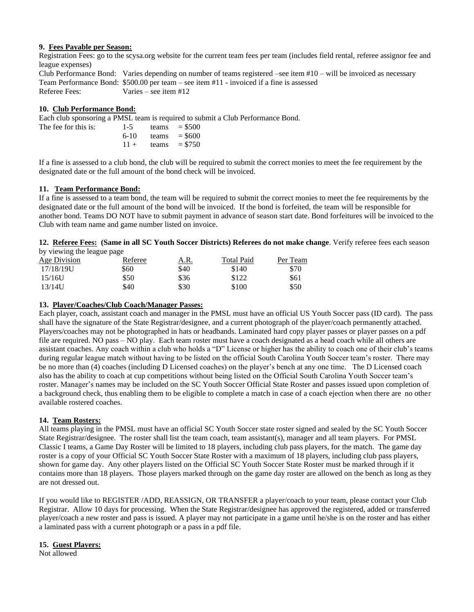### **9. Fees Payable per Season:**

Registration Fees: go to the scysa.org website for the current team fees per team (includes field rental, referee assignor fee and league expenses)

Club Performance Bond: Varies depending on number of teams registered –see item #10 – will be invoiced as necessary Team Performance Bond: \$500.00 per team – see item #11 - invoiced if a fine is assessed Referee Fees: Varies – see item #12

# **10. Club Performance Bond:**

Each club sponsoring a PMSL team is required to submit a Club Performance Bond.

| The fee for this is: | $1 - 5$ | teams $= $500$ |
|----------------------|---------|----------------|
|                      | 6-10    | teams $= $600$ |
|                      | $11 +$  | teams $= $750$ |

If a fine is assessed to a club bond, the club will be required to submit the correct monies to meet the fee requirement by the designated date or the full amount of the bond check will be invoiced.

### **11. Team Performance Bond:**

If a fine is assessed to a team bond, the team will be required to submit the correct monies to meet the fee requirements by the designated date or the full amount of the bond will be invoiced. If the bond is forfeited, the team will be responsible for another bond. Teams DO NOT have to submit payment in advance of season start date. Bond forfeitures will be invoiced to the Club with team name and game number listed on invoice.

**12. Referee Fees: (Same in all SC Youth Soccer Districts) Referees do not make change**. Verify referee fees each season by viewing the league page

| Age Division | Referee | A.R. | <b>Total Paid</b> | Per Team |
|--------------|---------|------|-------------------|----------|
| 17/18/19U    | \$60    | \$40 | \$140             | \$70     |
| 15/16U       | \$50    | \$36 | \$122             | \$61     |
| 13/14U       | \$40    | \$30 | \$100             | \$50     |

### **13. Player/Coaches/Club Coach/Manager Passes:**

Each player, coach, assistant coach and manager in the PMSL must have an official US Youth Soccer pass (ID card). The pass shall have the signature of the State Registrar/designee, and a current photograph of the player/coach permanently attached. Players/coaches may not be photographed in hats or headbands. Laminated hard copy player passes or player passes on a pdf file are required. NO pass – NO play. Each team roster must have a coach designated as a head coach while all others are assistant coaches. Any coach within a club who holds a "D" License or higher has the ability to coach one of their club's teams during regular league match without having to be listed on the official South Carolina Youth Soccer team's roster. There may be no more than (4) coaches (including D Licensed coaches) on the player's bench at any one time. The D Licensed coach also has the ability to coach at cup competitions without being listed on the Official South Carolina Youth Soccer team's roster. Manager's names may be included on the SC Youth Soccer Official State Roster and passes issued upon completion of a background check, thus enabling them to be eligible to complete a match in case of a coach ejection when there are no other available rostered coaches.

# **14. Team Rosters:**

All teams playing in the PMSL must have an official SC Youth Soccer state roster signed and sealed by the SC Youth Soccer State Registrar/designee. The roster shall list the team coach, team assistant(s), manager and all team players. For PMSL Classic I teams, a Game Day Roster will be limited to 18 players, including club pass players, for the match. The game day roster is a copy of your Official SC Youth Soccer State Roster with a maximum of 18 players, including club pass players, shown for game day. Any other players listed on the Official SC Youth Soccer State Roster must be marked through if it contains more than 18 players. Those players marked through on the game day roster are allowed on the bench as long as they are not dressed out.

If you would like to REGISTER /ADD, REASSIGN, OR TRANSFER a player/coach to your team, please contact your Club Registrar. Allow 10 days for processing. When the State Registrar/designee has approved the registered, added or transferred player/coach a new roster and pass is issued. A player may not participate in a game until he/she is on the roster and has either a laminated pass with a current photograph or a pass in a pdf file.

### **15. Guest Players:**

Not allowed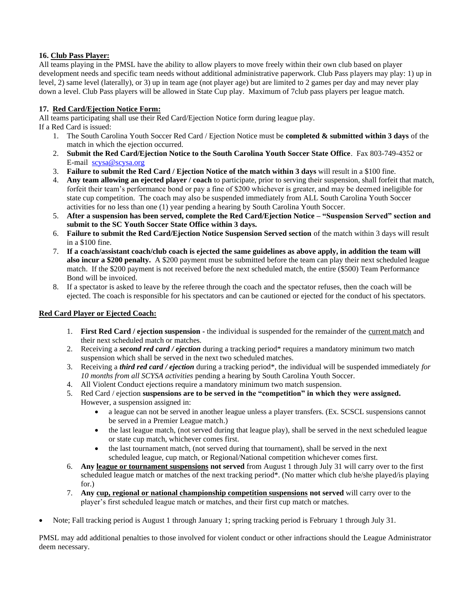# **16. Club Pass Player:**

All teams playing in the PMSL have the ability to allow players to move freely within their own club based on player development needs and specific team needs without additional administrative paperwork. Club Pass players may play: 1) up in level, 2) same level (laterally), or 3) up in team age (not player age) but are limited to 2 games per day and may never play down a level. Club Pass players will be allowed in State Cup play. Maximum of 7club pass players per league match.

# **17. Red Card/Ejection Notice Form:**

All teams participating shall use their Red Card/Ejection Notice form during league play.

- If a Red Card is issued:
	- 1. The South Carolina Youth Soccer Red Card / Ejection Notice must be **completed & submitted within 3 days** of the match in which the ejection occurred.
	- 2. **Submit the Red Card/Ejection Notice to the South Carolina Youth Soccer State Office**. Fax 803-749-4352 or E-mail [scysa@scysa.org](mailto:scysa@scysa.org)
	- 3. **Failure to submit the Red Card / Ejection Notice of the match within 3 days** will result in a \$100 fine.
	- 4. **Any team allowing an ejected player / coach** to participate, prior to serving their suspension, shall forfeit that match, forfeit their team's performance bond or pay a fine of \$200 whichever is greater, and may be deemed ineligible for state cup competition. The coach may also be suspended immediately from ALL South Carolina Youth Soccer activities for no less than one (1) year pending a hearing by South Carolina Youth Soccer.
	- 5. **After a suspension has been served, complete the Red Card/Ejection Notice – "Suspension Served" section and submit to the SC Youth Soccer State Office within 3 days.**
	- 6. **Failure to submit the Red Card/Ejection Notice Suspension Served section** of the match within 3 days will result in a \$100 fine.
	- 7. **If a coach/assistant coach/club coach is ejected the same guidelines as above apply, in addition the team will also incur a \$200 penalty.** A \$200 payment must be submitted before the team can play their next scheduled league match. If the \$200 payment is not received before the next scheduled match, the entire (\$500) Team Performance Bond will be invoiced.
	- 8. If a spectator is asked to leave by the referee through the coach and the spectator refuses, then the coach will be ejected. The coach is responsible for his spectators and can be cautioned or ejected for the conduct of his spectators.

# **Red Card Player or Ejected Coach:**

- 1. **First Red Card / ejection suspension -** the individual is suspended for the remainder of the current match and their next scheduled match or matches.
- 2. Receiving a *second red card / ejection* during a tracking period\* requires a mandatory minimum two match suspension which shall be served in the next two scheduled matches.
- 3. Receiving a *third red card / ejection* during a tracking period\*, the individual will be suspended immediately *for 10 months from all SCYSA activities* pending a hearing by South Carolina Youth Soccer.
- 4. All Violent Conduct ejections require a mandatory minimum two match suspension.
- 5. Red Card / ejection **suspensions are to be served in the "competition" in which they were assigned.** However, a suspension assigned in:
	- a league can not be served in another league unless a player transfers. (Ex. SCSCL suspensions cannot be served in a Premier League match.)
	- the last league match, (not served during that league play), shall be served in the next scheduled league or state cup match, whichever comes first.
	- the last tournament match, (not served during that tournament), shall be served in the next scheduled league, cup match, or Regional/National competition whichever comes first.
- 6. **Any league or tournament suspensions not served** from August 1 through July 31 will carry over to the first scheduled league match or matches of the next tracking period\*. (No matter which club he/she played/is playing for.)
- 7. **Any cup, regional or national championship competition suspensions not served** will carry over to the player's first scheduled league match or matches, and their first cup match or matches.
- Note; Fall tracking period is August 1 through January 1; spring tracking period is February 1 through July 31.

PMSL may add additional penalties to those involved for violent conduct or other infractions should the League Administrator deem necessary.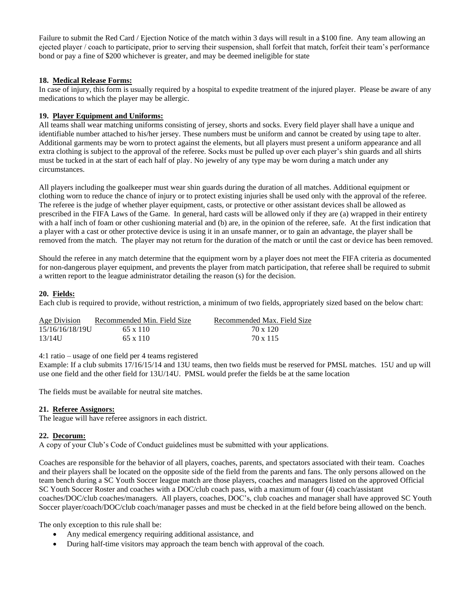Failure to submit the Red Card / Ejection Notice of the match within 3 days will result in a \$100 fine. Any team allowing an ejected player / coach to participate, prior to serving their suspension, shall forfeit that match, forfeit their team's performance bond or pay a fine of \$200 whichever is greater, and may be deemed ineligible for state

# **18. Medical Release Forms:**

In case of injury, this form is usually required by a hospital to expedite treatment of the injured player. Please be aware of any medications to which the player may be allergic.

# **19. Player Equipment and Uniforms:**

All teams shall wear matching uniforms consisting of jersey, shorts and socks. Every field player shall have a unique and identifiable number attached to his/her jersey. These numbers must be uniform and cannot be created by using tape to alter. Additional garments may be worn to protect against the elements, but all players must present a uniform appearance and all extra clothing is subject to the approval of the referee. Socks must be pulled up over each player's shin guards and all shirts must be tucked in at the start of each half of play. No jewelry of any type may be worn during a match under any circumstances.

All players including the goalkeeper must wear shin guards during the duration of all matches. Additional equipment or clothing worn to reduce the chance of injury or to protect existing injuries shall be used only with the approval of the referee. The referee is the judge of whether player equipment, casts, or protective or other assistant devices shall be allowed as prescribed in the FIFA Laws of the Game. In general, hard casts will be allowed only if they are (a) wrapped in their entirety with a half inch of foam or other cushioning material and (b) are, in the opinion of the referee, safe. At the first indication that a player with a cast or other protective device is using it in an unsafe manner, or to gain an advantage, the player shall be removed from the match. The player may not return for the duration of the match or until the cast or device has been removed.

Should the referee in any match determine that the equipment worn by a player does not meet the FIFA criteria as documented for non-dangerous player equipment, and prevents the player from match participation, that referee shall be required to submit a written report to the league administrator detailing the reason (s) for the decision.

# **20. Fields:**

Each club is required to provide, without restriction, a minimum of two fields, appropriately sized based on the below chart:

| Age Division    | Recommended Min. Field Size | Recommended Max. Field Size |
|-----------------|-----------------------------|-----------------------------|
| 15/16/16/18/19U | 65 x 110                    | 70 x 120                    |
| 13/14U          | 65 x 110                    | 70 x 115                    |

4:1 ratio – usage of one field per 4 teams registered

Example: If a club submits 17/16/15/14 and 13U teams, then two fields must be reserved for PMSL matches. 15U and up will use one field and the other field for 13U/14U. PMSL would prefer the fields be at the same location

The fields must be available for neutral site matches.

# **21. Referee Assignors:**

The league will have referee assignors in each district.

# **22. Decorum:**

A copy of your Club's Code of Conduct guidelines must be submitted with your applications.

Coaches are responsible for the behavior of all players, coaches, parents, and spectators associated with their team. Coaches and their players shall be located on the opposite side of the field from the parents and fans. The only persons allowed on the team bench during a SC Youth Soccer league match are those players, coaches and managers listed on the approved Official SC Youth Soccer Roster and coaches with a DOC/club coach pass, with a maximum of four (4) coach/assistant coaches/DOC/club coaches/managers. All players, coaches, DOC's, club coaches and manager shall have approved SC Youth Soccer player/coach/DOC/club coach/manager passes and must be checked in at the field before being allowed on the bench.

The only exception to this rule shall be:

- Any medical emergency requiring additional assistance, and
- During half-time visitors may approach the team bench with approval of the coach.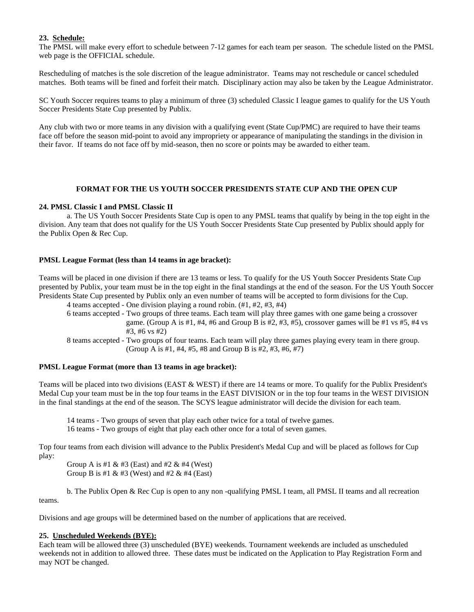# **23. Schedule:**

The PMSL will make every effort to schedule between 7-12 games for each team per season. The schedule listed on the PMSL web page is the OFFICIAL schedule.

Rescheduling of matches is the sole discretion of the league administrator. Teams may not reschedule or cancel scheduled matches. Both teams will be fined and forfeit their match. Disciplinary action may also be taken by the League Administrator.

SC Youth Soccer requires teams to play a minimum of three (3) scheduled Classic I league games to qualify for the US Youth Soccer Presidents State Cup presented by Publix.

Any club with two or more teams in any division with a qualifying event (State Cup/PMC) are required to have their teams face off before the season mid-point to avoid any impropriety or appearance of manipulating the standings in the division in their favor. If teams do not face off by mid-season, then no score or points may be awarded to either team.

### **FORMAT FOR THE US YOUTH SOCCER PRESIDENTS STATE CUP AND THE OPEN CUP**

#### **24. PMSL Classic I and PMSL Classic II**

a. The US Youth Soccer Presidents State Cup is open to any PMSL teams that qualify by being in the top eight in the division. Any team that does not qualify for the US Youth Soccer Presidents State Cup presented by Publix should apply for the Publix Open & Rec Cup.

### **PMSL League Format (less than 14 teams in age bracket):**

Teams will be placed in one division if there are 13 teams or less. To qualify for the US Youth Soccer Presidents State Cup presented by Publix, your team must be in the top eight in the final standings at the end of the season. For the US Youth Soccer Presidents State Cup presented by Publix only an even number of teams will be accepted to form divisions for the Cup.

4 teams accepted - One division playing a round robin. (#1, #2, #3, #4) 6 teams accepted - Two groups of three teams. Each team will play three games with one game being a crossover game. (Group A is #1, #4, #6 and Group B is #2, #3, #5), crossover games will be #1 vs #5, #4 vs #3, #6 vs #2) 8 teams accepted - Two groups of four teams. Each team will play three games playing every team in there group.

(Group A is #1, #4, #5, #8 and Group B is #2, #3, #6, #7)

### **PMSL League Format (more than 13 teams in age bracket):**

Teams will be placed into two divisions (EAST & WEST) if there are 14 teams or more. To qualify for the Publix President's Medal Cup your team must be in the top four teams in the EAST DIVISION or in the top four teams in the WEST DIVISION in the final standings at the end of the season. The SCYS league administrator will decide the division for each team.

14 teams - Two groups of seven that play each other twice for a total of twelve games.

16 teams - Two groups of eight that play each other once for a total of seven games.

Top four teams from each division will advance to the Publix President's Medal Cup and will be placed as follows for Cup play:

Group A is #1 & #3 (East) and #2 & #4 (West) Group B is #1 & #3 (West) and #2 & #4 (East)

b. The Publix Open & Rec Cup is open to any non -qualifying PMSL I team, all PMSL II teams and all recreation teams.

Divisions and age groups will be determined based on the number of applications that are received.

### **25. Unscheduled Weekends (BYE):**

Each team will be allowed three (3) unscheduled (BYE) weekends. Tournament weekends are included as unscheduled weekends not in addition to allowed three. These dates must be indicated on the Application to Play Registration Form and may NOT be changed.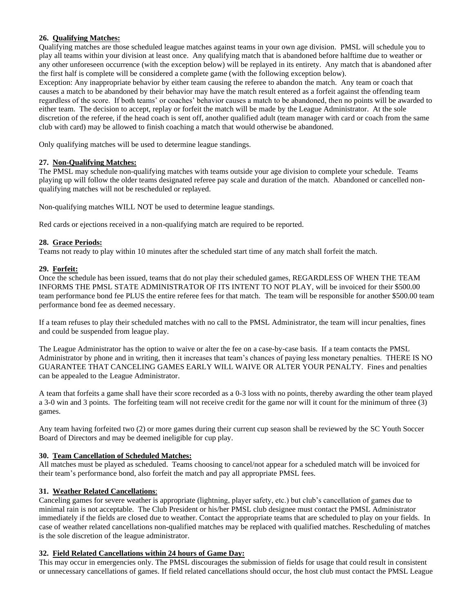# **26. Qualifying Matches:**

Qualifying matches are those scheduled league matches against teams in your own age division. PMSL will schedule you to play all teams within your division at least once. Any qualifying match that is abandoned before halftime due to weather or any other unforeseen occurrence (with the exception below) will be replayed in its entirety. Any match that is abandoned after the first half is complete will be considered a complete game (with the following exception below).

Exception: Any inappropriate behavior by either team causing the referee to abandon the match. Any team or coach that causes a match to be abandoned by their behavior may have the match result entered as a forfeit against the offending team regardless of the score. If both teams' or coaches' behavior causes a match to be abandoned, then no points will be awarded to either team. The decision to accept, replay or forfeit the match will be made by the League Administrator. At the sole discretion of the referee, if the head coach is sent off, another qualified adult (team manager with card or coach from the same club with card) may be allowed to finish coaching a match that would otherwise be abandoned.

Only qualifying matches will be used to determine league standings.

# **27. Non-Qualifying Matches:**

The PMSL may schedule non-qualifying matches with teams outside your age division to complete your schedule. Teams playing up will follow the older teams designated referee pay scale and duration of the match. Abandoned or cancelled nonqualifying matches will not be rescheduled or replayed.

Non-qualifying matches WILL NOT be used to determine league standings.

Red cards or ejections received in a non-qualifying match are required to be reported.

# **28. Grace Periods:**

Teams not ready to play within 10 minutes after the scheduled start time of any match shall forfeit the match.

# **29. Forfeit:**

Once the schedule has been issued, teams that do not play their scheduled games, REGARDLESS OF WHEN THE TEAM INFORMS THE PMSL STATE ADMINISTRATOR OF ITS INTENT TO NOT PLAY, will be invoiced for their \$500.00 team performance bond fee PLUS the entire referee fees for that match. The team will be responsible for another \$500.00 team performance bond fee as deemed necessary.

If a team refuses to play their scheduled matches with no call to the PMSL Administrator, the team will incur penalties, fines and could be suspended from league play.

The League Administrator has the option to waive or alter the fee on a case-by-case basis. If a team contacts the PMSL Administrator by phone and in writing, then it increases that team's chances of paying less monetary penalties. THERE IS NO GUARANTEE THAT CANCELING GAMES EARLY WILL WAIVE OR ALTER YOUR PENALTY. Fines and penalties can be appealed to the League Administrator.

A team that forfeits a game shall have their score recorded as a 0-3 loss with no points, thereby awarding the other team played a 3-0 win and 3 points. The forfeiting team will not receive credit for the game nor will it count for the minimum of three (3) games.

Any team having forfeited two (2) or more games during their current cup season shall be reviewed by the SC Youth Soccer Board of Directors and may be deemed ineligible for cup play.

# **30. Team Cancellation of Scheduled Matches:**

All matches must be played as scheduled. Teams choosing to cancel/not appear for a scheduled match will be invoiced for their team's performance bond, also forfeit the match and pay all appropriate PMSL fees.

# **31. Weather Related Cancellations**:

Canceling games for severe weather is appropriate (lightning, player safety, etc.) but club's cancellation of games due to minimal rain is not acceptable. The Club President or his/her PMSL club designee must contact the PMSL Administrator immediately if the fields are closed due to weather. Contact the appropriate teams that are scheduled to play on your fields. In case of weather related cancellations non-qualified matches may be replaced with qualified matches. Rescheduling of matches is the sole discretion of the league administrator.

# **32. Field Related Cancellations within 24 hours of Game Day:**

This may occur in emergencies only. The PMSL discourages the submission of fields for usage that could result in consistent or unnecessary cancellations of games. If field related cancellations should occur, the host club must contact the PMSL League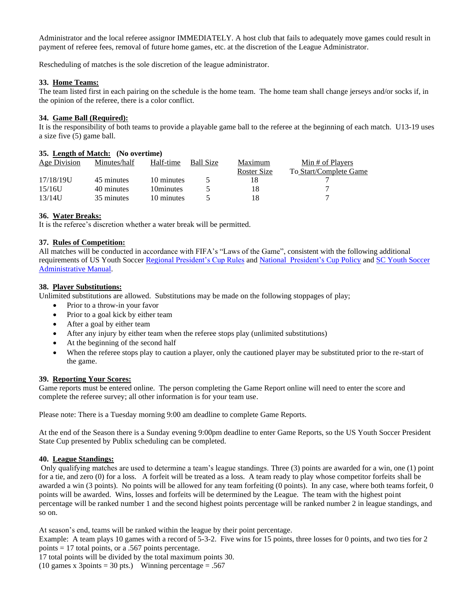Administrator and the local referee assignor IMMEDIATELY. A host club that fails to adequately move games could result in payment of referee fees, removal of future home games, etc. at the discretion of the League Administrator.

Rescheduling of matches is the sole discretion of the league administrator.

### **33. Home Teams:**

The team listed first in each pairing on the schedule is the home team. The home team shall change jerseys and/or socks if, in the opinion of the referee, there is a color conflict.

### **34. Game Ball (Required):**

It is the responsibility of both teams to provide a playable game ball to the referee at the beginning of each match. U13-19 uses a size five (5) game ball.

### **35. Length of Match: (No overtime)**

| Age Division | Minutes/half | Half-time  | <b>Ball Size</b> | Maximum     | Min # of Players       |
|--------------|--------------|------------|------------------|-------------|------------------------|
|              |              |            |                  | Roster Size | To Start/Complete Game |
| 17/18/19U    | 45 minutes   | 10 minutes |                  |             |                        |
| 15/16U       | 40 minutes   | 10minutes  |                  |             |                        |
| $13/14$ U    | 35 minutes   | 10 minutes |                  |             |                        |

### **36. Water Breaks:**

It is the referee's discretion whether a water break will be permitted.

# **37. Rules of Competition:**

All matches will be conducted in accordance with FIFA's "Laws of the Game", consistent with the following additional requirements of US Youth Soccer [Regional President's Cup Rules](http://regioniii.usyouthsoccer.org/assets/926/15/Rules_Approved_August_1_2012_FINAL%20sent%20out%20feb%202013%20New.pdf) and [National President's Cup Policy](http://www.usyouthsoccer.org/assets/1/15/Presidents%20Cup%20Policy%20final.%209.20.12.pdf) and [SC Youth Soccer](http://www.scysa.org/scys_administrative/admin.manual.aspx)  [Administrative](http://www.scysa.org/scys_administrative/admin.manual.aspx) Manual.

### **38. Player Substitutions:**

Unlimited substitutions are allowed. Substitutions may be made on the following stoppages of play;

- Prior to a throw-in your favor
- Prior to a goal kick by either team
- After a goal by either team
- After any injury by either team when the referee stops play (unlimited substitutions)
- At the beginning of the second half
- When the referee stops play to caution a player, only the cautioned player may be substituted prior to the re-start of the game.

### **39. Reporting Your Scores:**

Game reports must be entered online. The person completing the Game Report online will need to enter the score and complete the referee survey; all other information is for your team use.

Please note: There is a Tuesday morning 9:00 am deadline to complete Game Reports.

At the end of the Season there is a Sunday evening 9:00pm deadline to enter Game Reports, so the US Youth Soccer President State Cup presented by Publix scheduling can be completed.

# **40. League Standings:**

Only qualifying matches are used to determine a team's league standings. Three (3) points are awarded for a win, one (1) point for a tie, and zero (0) for a loss. A forfeit will be treated as a loss. A team ready to play whose competitor forfeits shall be awarded a win (3 points). No points will be allowed for any team forfeiting (0 points). In any case, where both teams forfeit, 0 points will be awarded. Wins, losses and forfeits will be determined by the League. The team with the highest point percentage will be ranked number 1 and the second highest points percentage will be ranked number 2 in league standings, and so on.

At season's end, teams will be ranked within the league by their point percentage.

Example: A team plays 10 games with a record of 5-3-2. Five wins for 15 points, three losses for 0 points, and two ties for 2 points = 17 total points, or a .567 points percentage.

17 total points will be divided by the total maximum points 30.

(10 games x 3points = 30 pts.) Winning percentage = .567